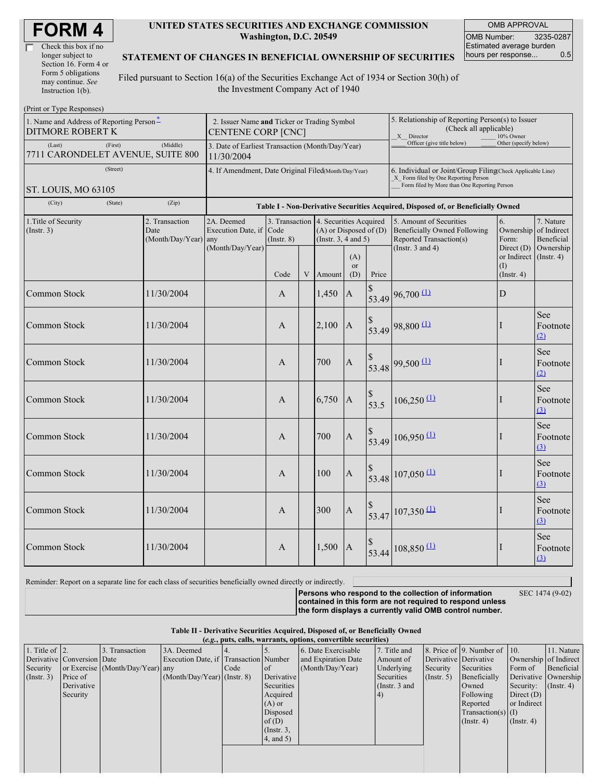### **UNITED STATES SECURITIES AND EXCHANGE COMMISSION Washington, D.C. 20549**

OMB APPROVAL OMB Number: 3235-0287 Estimated average burden hours per response... 0.5

### **STATEMENT OF CHANGES IN BENEFICIAL OWNERSHIP OF SECURITIES**

Filed pursuant to Section 16(a) of the Securities Exchange Act of 1934 or Section 30(h) of the Investment Company Act of 1940

| (Print or Type Responses)                                           |                                                                                  |                  |                                                                  |                 |  |                                                                                                   |                                                                                                       |                       |                                                                                                                                                                                                                                                                                                                                                                                                      |                                        |                                        |  |
|---------------------------------------------------------------------|----------------------------------------------------------------------------------|------------------|------------------------------------------------------------------|-----------------|--|---------------------------------------------------------------------------------------------------|-------------------------------------------------------------------------------------------------------|-----------------------|------------------------------------------------------------------------------------------------------------------------------------------------------------------------------------------------------------------------------------------------------------------------------------------------------------------------------------------------------------------------------------------------------|----------------------------------------|----------------------------------------|--|
| 1. Name and Address of Reporting Person-<br><b>DITMORE ROBERT K</b> | 2. Issuer Name and Ticker or Trading Symbol<br><b>CENTENE CORP [CNC]</b>         |                  |                                                                  |                 |  |                                                                                                   | 5. Relationship of Reporting Person(s) to Issuer<br>(Check all applicable)<br>X Director<br>10% Owner |                       |                                                                                                                                                                                                                                                                                                                                                                                                      |                                        |                                        |  |
| (Last)<br>7711 CARONDELET AVENUE, SUITE 800                         | 3. Date of Earliest Transaction (Month/Day/Year)<br>11/30/2004                   |                  |                                                                  |                 |  |                                                                                                   | Officer (give title below)                                                                            | Other (specify below) |                                                                                                                                                                                                                                                                                                                                                                                                      |                                        |                                        |  |
| (Street)<br>ST. LOUIS, MO 63105                                     |                                                                                  |                  | 4. If Amendment, Date Original Filed(Month/Day/Year)             |                 |  |                                                                                                   |                                                                                                       |                       | 6. Individual or Joint/Group Filing(Check Applicable Line)<br>X Form filed by One Reporting Person<br>Form filed by More than One Reporting Person                                                                                                                                                                                                                                                   |                                        |                                        |  |
| (City)                                                              | Table I - Non-Derivative Securities Acquired, Disposed of, or Beneficially Owned |                  |                                                                  |                 |  |                                                                                                   |                                                                                                       |                       |                                                                                                                                                                                                                                                                                                                                                                                                      |                                        |                                        |  |
| 2. Transaction<br>1. Title of Security<br>(Insert. 3)<br>Date       |                                                                                  | (Month/Day/Year) | 2A. Deemed<br>Execution Date, if Code<br>any<br>(Month/Day/Year) | $($ Instr. $8)$ |  | 3. Transaction   4. Securities Acquired<br>$(A)$ or Disposed of $(D)$<br>(Instr. $3, 4$ and $5$ ) |                                                                                                       |                       | 5. Amount of Securities<br><b>Beneficially Owned Following</b><br>Reported Transaction(s)<br>(Instr. $3$ and $4$ )                                                                                                                                                                                                                                                                                   | 6.<br>Ownership<br>Form:<br>Direct (D) | 7. Nature<br>of Indirect<br>Beneficial |  |
|                                                                     |                                                                                  |                  |                                                                  | Code            |  | V Amount                                                                                          | (A)<br><b>or</b><br>(D)                                                                               | Price                 |                                                                                                                                                                                                                                                                                                                                                                                                      | or Indirect<br>(I)<br>(Insert. 4)      | Ownership<br>$($ Instr. 4 $)$          |  |
| Common Stock                                                        |                                                                                  | 11/30/2004       |                                                                  | A               |  | 1,450                                                                                             | $\boldsymbol{A}$                                                                                      |                       | $\begin{array}{c c} \n\text{\$} & \n\text{\$} & \n\text{\$} & \n\text{\$} & \n\text{\$} & \n\text{\$} & \n\text{\$} & \n\text{\$} & \n\text{\$} & \n\text{\$} & \n\text{\$} & \n\text{\$} & \n\text{\$} & \n\text{\$} & \n\text{\$} & \n\text{\$} & \n\text{\$} & \n\text{\$} & \n\text{\$} & \n\text{\$} & \n\text{\$} & \n\text{\$} & \n\text{\$} & \n\text{\$} & \n\text{\$} & \n\text{\$} & \n\$ | $\mathbf D$                            |                                        |  |
| Common Stock                                                        |                                                                                  | 11/30/2004       |                                                                  | A               |  | 2,100                                                                                             | $\boldsymbol{A}$                                                                                      |                       | $\begin{array}{c} \n\text{\$} \\ 53.49 \n\end{array}$ 98,800 $\frac{(1)}{(1)}$                                                                                                                                                                                                                                                                                                                       |                                        | See<br>Footnote<br>(2)                 |  |
| <b>Common Stock</b>                                                 |                                                                                  | 11/30/2004       |                                                                  | $\mathsf{A}$    |  | 700                                                                                               | $\mathbf{A}$                                                                                          |                       | $\begin{array}{c} \n\sqrt[5]{\phantom{0}} 53.48 \n\end{array}$ 99,500 $\begin{array}{c} \n\boxed{1} \n\end{array}$                                                                                                                                                                                                                                                                                   |                                        | See<br>Footnote<br>(2)                 |  |
| <b>Common Stock</b>                                                 |                                                                                  | 11/30/2004       |                                                                  | $\overline{A}$  |  | 6,750                                                                                             | $\boldsymbol{A}$                                                                                      | $\frac{\$}{53.5}$     | $106,250 \stackrel{(1)}{ }$                                                                                                                                                                                                                                                                                                                                                                          |                                        | See<br>Footnote<br>(3)                 |  |
| <b>Common Stock</b>                                                 |                                                                                  | 11/30/2004       |                                                                  | $\overline{A}$  |  | 700                                                                                               | $\boldsymbol{A}$                                                                                      |                       | $\begin{array}{c c} \n\text{\$} & 106,950 \text{ } \text{\{\_}} \n\end{array}$                                                                                                                                                                                                                                                                                                                       | I                                      | See<br>Footnote<br>$\Omega$            |  |
| <b>Common Stock</b>                                                 |                                                                                  | 11/30/2004       |                                                                  | $\overline{A}$  |  | 100                                                                                               | $\boldsymbol{A}$                                                                                      |                       | $\begin{array}{c c} \n\text{\$} & 107,050 \text{ } \textcircled{1} \\ \text{53.48} & \n\end{array}$                                                                                                                                                                                                                                                                                                  | I                                      | See<br>Footnote<br>(3)                 |  |
| Common Stock                                                        |                                                                                  | 11/30/2004       |                                                                  | $\overline{A}$  |  | 300                                                                                               | $\boldsymbol{A}$                                                                                      |                       | $\begin{array}{c c} \n\text{\$} & 107,350 \text{ } \textcircled{1} \\ \text{53.47} & & \n\end{array}$                                                                                                                                                                                                                                                                                                | I                                      | See<br>Footnote<br>(3)                 |  |
| Common Stock                                                        |                                                                                  | 11/30/2004       |                                                                  | A               |  | 1,500                                                                                             | A                                                                                                     |                       | 53.44 108,850 (1)                                                                                                                                                                                                                                                                                                                                                                                    |                                        | See<br>Footnote<br>(3)                 |  |

Reminder: Report on a separate line for each class of securities beneficially owned directly or indirectly.

**Persons who respond to the collection of information**

SEC 1474 (9-02)

**contained in this form are not required to respond unless the form displays a currently valid OMB control number.**

| (e.g., puts, calls, warrants, options, convertible securities) |                            |                                  |                                       |      |                 |                     |                 |                  |                              |                       |                  |
|----------------------------------------------------------------|----------------------------|----------------------------------|---------------------------------------|------|-----------------|---------------------|-----------------|------------------|------------------------------|-----------------------|------------------|
| 1. Title of $\vert$ 2.                                         |                            | 3. Transaction                   | 3A. Deemed                            |      |                 | 6. Date Exercisable | 7. Title and    |                  | 8. Price of 9. Number of 10. |                       | 11. Nature       |
|                                                                | Derivative Conversion Date |                                  | Execution Date, if Transaction Number |      |                 | and Expiration Date | Amount of       |                  | Derivative Derivative        | Ownership of Indirect |                  |
| Security                                                       |                            | or Exercise (Month/Day/Year) any |                                       | Code | l of            | (Month/Day/Year)    | Underlying      | Security         | Securities                   | Form of               | Beneficial       |
| $($ Instr. 3 $)$                                               | Price of                   |                                  | $(Month/Day/Year)$ (Instr. 8)         |      | Derivative      |                     | Securities      | $($ Instr. 5 $)$ | Beneficially                 | Derivative Ownership  |                  |
|                                                                | Derivative                 |                                  |                                       |      | Securities      |                     | (Instr. $3$ and |                  | Owned                        | Security:             | $($ Instr. 4 $)$ |
|                                                                | Security                   |                                  |                                       |      | Acquired        |                     | (4)             |                  | Following                    | Direct $(D)$          |                  |
|                                                                |                            |                                  |                                       |      | $(A)$ or        |                     |                 |                  | Reported                     | or Indirect           |                  |
|                                                                |                            |                                  |                                       |      | Disposed        |                     |                 |                  | $Transaction(s)$ (I)         |                       |                  |
|                                                                |                            |                                  |                                       |      | of(D)           |                     |                 |                  | $($ Instr. 4)                | $($ Instr. 4 $)$      |                  |
|                                                                |                            |                                  |                                       |      | $($ Instr. $3,$ |                     |                 |                  |                              |                       |                  |
|                                                                |                            |                                  |                                       |      | 4, and 5)       |                     |                 |                  |                              |                       |                  |
|                                                                |                            |                                  |                                       |      |                 |                     |                 |                  |                              |                       |                  |
|                                                                |                            |                                  |                                       |      |                 |                     |                 |                  |                              |                       |                  |
|                                                                |                            |                                  |                                       |      |                 |                     |                 |                  |                              |                       |                  |
|                                                                |                            |                                  |                                       |      |                 |                     |                 |                  |                              |                       |                  |